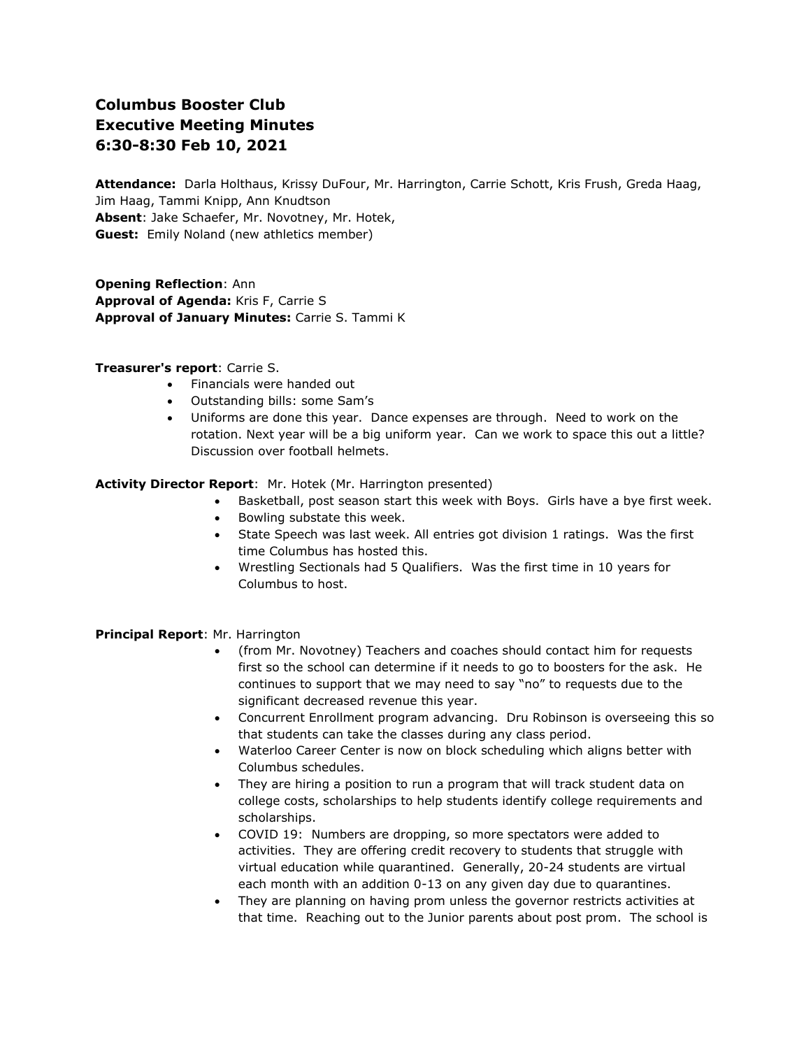# **Columbus Booster Club Executive Meeting Minutes 6:30-8:30 Feb 10, 2021**

**Attendance:** Darla Holthaus, Krissy DuFour, Mr. Harrington, Carrie Schott, Kris Frush, Greda Haag, Jim Haag, Tammi Knipp, Ann Knudtson **Absent**: Jake Schaefer, Mr. Novotney, Mr. Hotek, **Guest:** Emily Noland (new athletics member)

**Opening Reflection**: Ann **Approval of Agenda:** Kris F, Carrie S **Approval of January Minutes:** Carrie S. Tammi K

## **Treasurer's report**: Carrie S.

- Financials were handed out
- Outstanding bills: some Sam's
- Uniforms are done this year. Dance expenses are through. Need to work on the rotation. Next year will be a big uniform year. Can we work to space this out a little? Discussion over football helmets.

**Activity Director Report**: Mr. Hotek (Mr. Harrington presented)

- Basketball, post season start this week with Boys. Girls have a bye first week.
- Bowling substate this week.
- State Speech was last week. All entries got division 1 ratings. Was the first time Columbus has hosted this.
- Wrestling Sectionals had 5 Qualifiers. Was the first time in 10 years for Columbus to host.

## **Principal Report**: Mr. Harrington

- (from Mr. Novotney) Teachers and coaches should contact him for requests first so the school can determine if it needs to go to boosters for the ask. He continues to support that we may need to say "no" to requests due to the significant decreased revenue this year.
- Concurrent Enrollment program advancing. Dru Robinson is overseeing this so that students can take the classes during any class period.
- Waterloo Career Center is now on block scheduling which aligns better with Columbus schedules.
- They are hiring a position to run a program that will track student data on college costs, scholarships to help students identify college requirements and scholarships.
- COVID 19: Numbers are dropping, so more spectators were added to activities. They are offering credit recovery to students that struggle with virtual education while quarantined. Generally, 20-24 students are virtual each month with an addition 0-13 on any given day due to quarantines.
- They are planning on having prom unless the governor restricts activities at that time. Reaching out to the Junior parents about post prom. The school is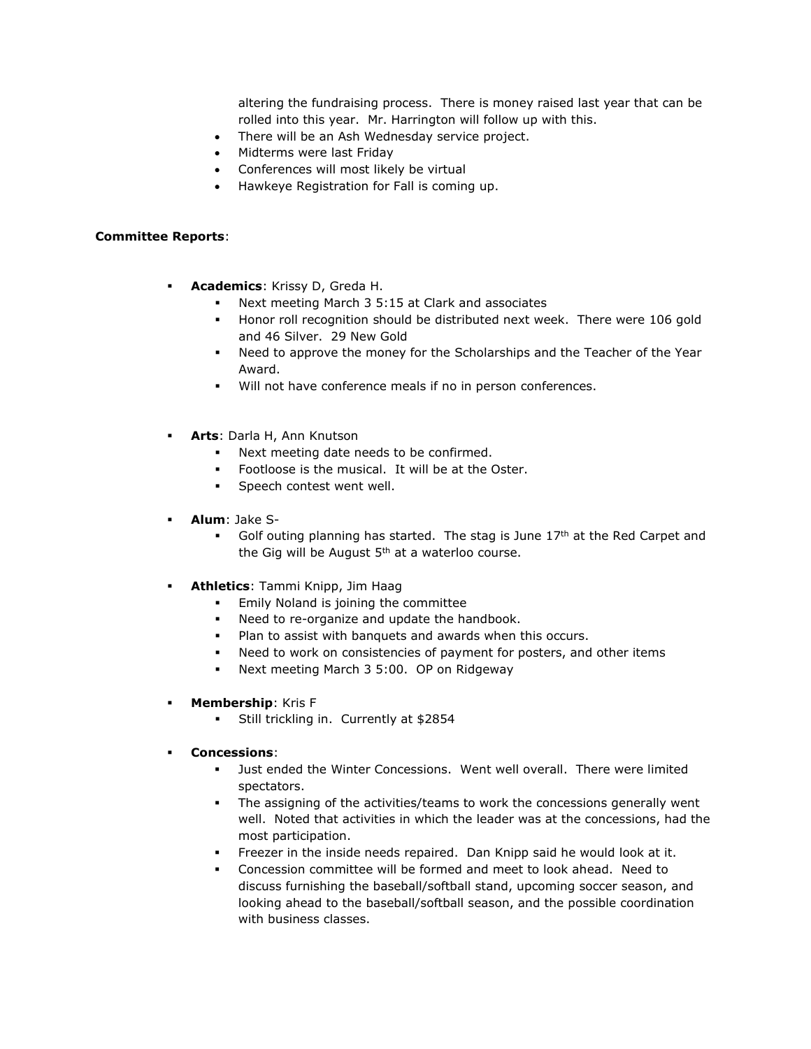altering the fundraising process. There is money raised last year that can be rolled into this year. Mr. Harrington will follow up with this.

- There will be an Ash Wednesday service project.
- Midterms were last Friday
- Conferences will most likely be virtual
- Hawkeye Registration for Fall is coming up.

#### **Committee Reports**:

- **Academics**: Krissy D, Greda H.
	- Next meeting March 3 5:15 at Clark and associates
	- Honor roll recognition should be distributed next week. There were 106 gold and 46 Silver. 29 New Gold
	- Need to approve the money for the Scholarships and the Teacher of the Year Award.
	- Will not have conference meals if no in person conferences.
- **Arts**: Darla H, Ann Knutson
	- Next meeting date needs to be confirmed.
	- Footloose is the musical. It will be at the Oster.
	- Speech contest went well.
- **Alum**: Jake S-
	- **•** Golf outing planning has started. The stag is June  $17<sup>th</sup>$  at the Red Carpet and the Gig will be August  $5<sup>th</sup>$  at a waterloo course.
- **Athletics**: Tammi Knipp, Jim Haag
	- **Emily Noland is joining the committee**
	- Need to re-organize and update the handbook.
	- Plan to assist with banquets and awards when this occurs.
	- Need to work on consistencies of payment for posters, and other items
	- Next meeting March 3 5:00. OP on Ridgeway
- **Membership: Kris F** 
	- Still trickling in. Currently at \$2854
- **Concessions**:
	- Just ended the Winter Concessions. Went well overall. There were limited spectators.
	- The assigning of the activities/teams to work the concessions generally went well. Noted that activities in which the leader was at the concessions, had the most participation.
	- Freezer in the inside needs repaired. Dan Knipp said he would look at it.
	- Concession committee will be formed and meet to look ahead. Need to discuss furnishing the baseball/softball stand, upcoming soccer season, and looking ahead to the baseball/softball season, and the possible coordination with business classes.